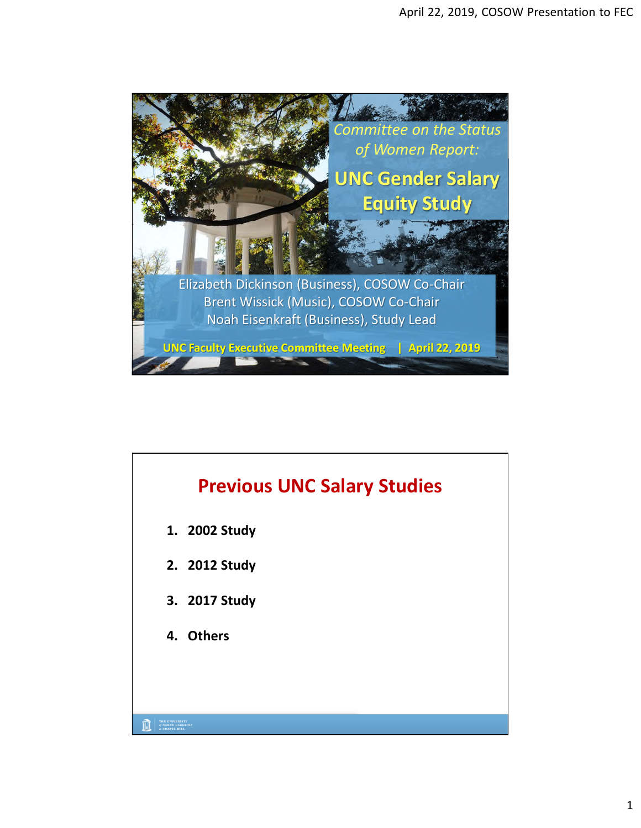

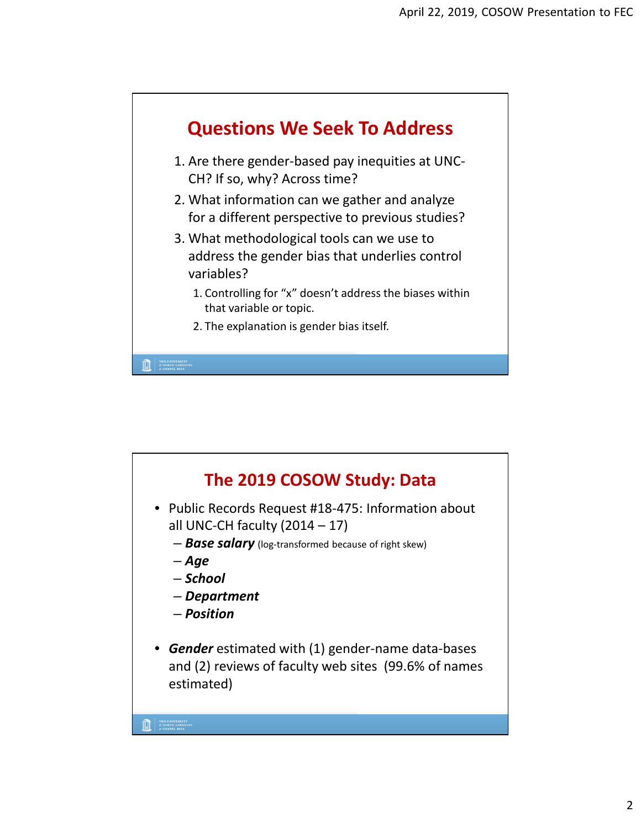

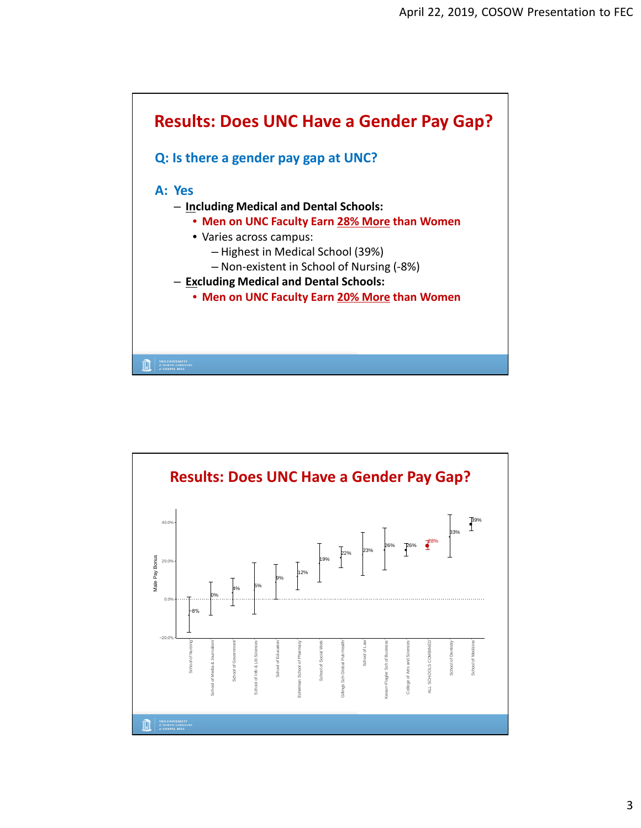

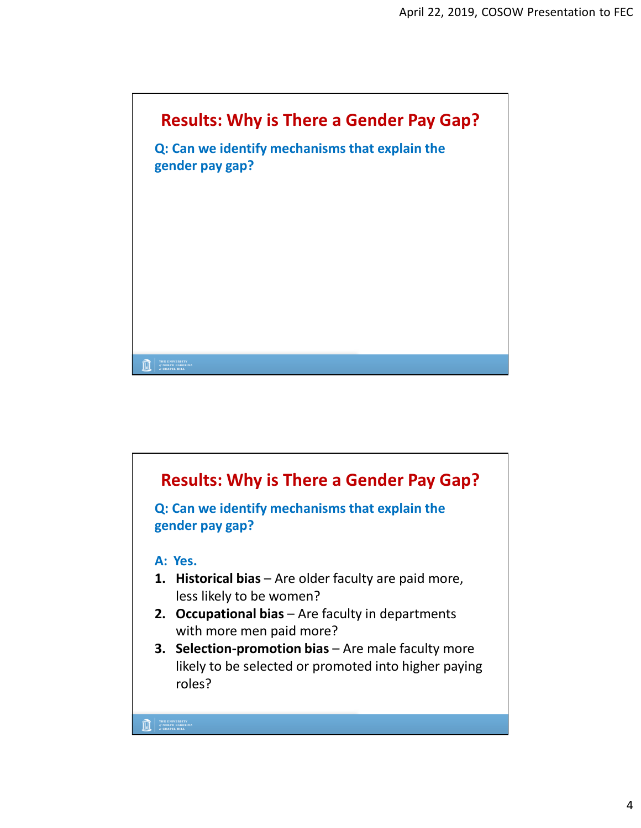

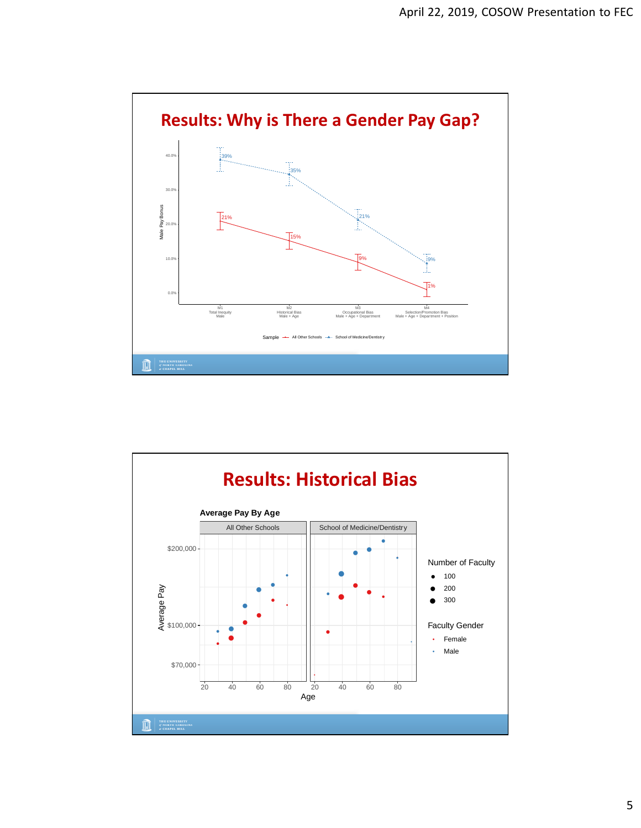

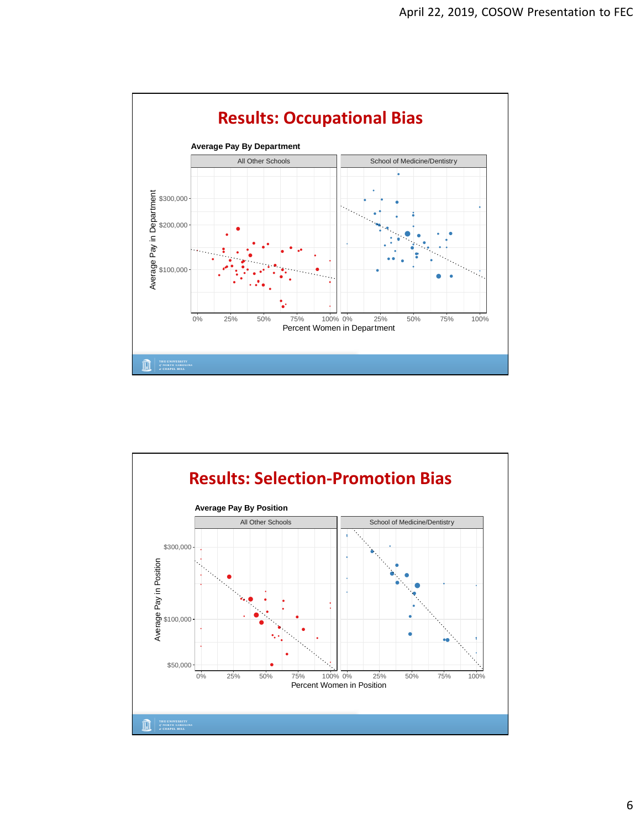

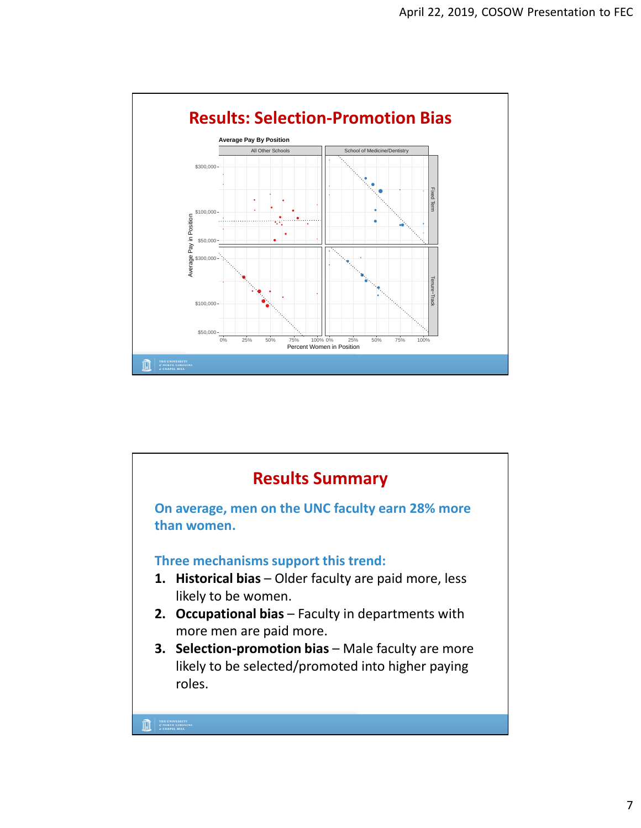

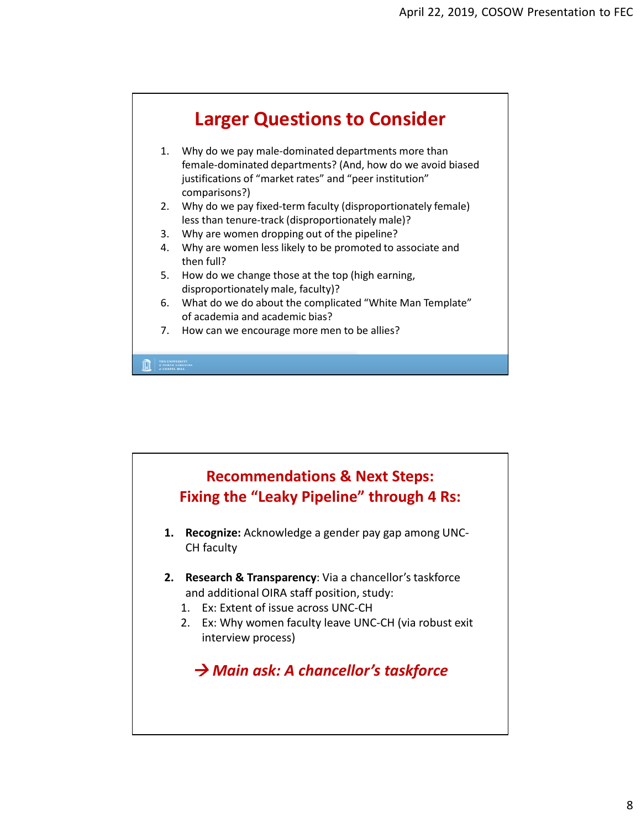

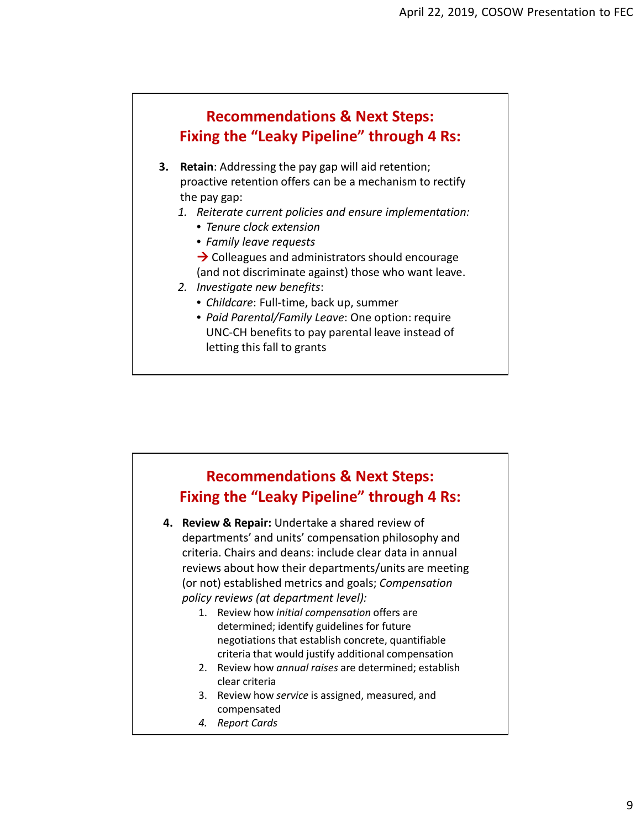## **Recommendations & Next Steps: Fixing the "Leaky Pipeline" through 4 Rs:**

- **3. Retain**: Addressing the pay gap will aid retention; proactive retention offers can be a mechanism to rectify the pay gap:
	- *1. Reiterate current policies and ensure implementation:*
		- *Tenure clock extension*
		- *Family leave requests*
		- $\rightarrow$  Colleagues and administrators should encourage (and not discriminate against) those who want leave.
	- *2. Investigate new benefits*:
		- *Childcare*: Full-time, back up, summer
		- *Paid Parental/Family Leave*: One option: require UNC-CH benefits to pay parental leave instead of letting this fall to grants



- **4. Review & Repair:** Undertake a shared review of departments' and units' compensation philosophy and criteria. Chairs and deans: include clear data in annual reviews about how their departments/units are meeting (or not) established metrics and goals; *Compensation policy reviews (at department level):* 
	- 1. Review how *initial compensation* offers are determined; identify guidelines for future negotiations that establish concrete, quantifiable criteria that would justify additional compensation
	- 2. Review how *annual raises* are determined; establish clear criteria
	- 3. Review how *service* is assigned, measured, and compensated
	- *4. Report Cards*